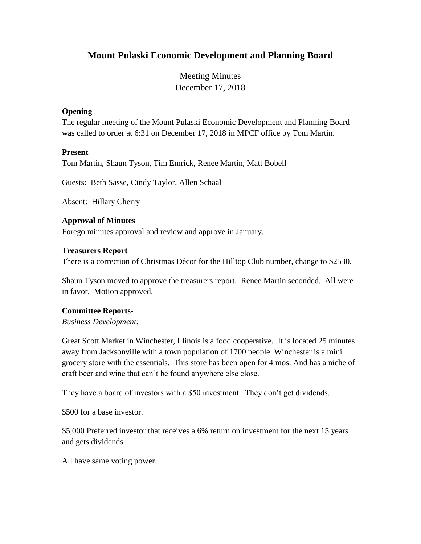# **Mount Pulaski Economic Development and Planning Board**

Meeting Minutes December 17, 2018

# **Opening**

The regular meeting of the Mount Pulaski Economic Development and Planning Board was called to order at 6:31 on December 17, 2018 in MPCF office by Tom Martin.

# **Present**

Tom Martin, Shaun Tyson, Tim Emrick, Renee Martin, Matt Bobell

Guests: Beth Sasse, Cindy Taylor, Allen Schaal

Absent: Hillary Cherry

# **Approval of Minutes**

Forego minutes approval and review and approve in January.

#### **Treasurers Report**

There is a correction of Christmas Décor for the Hilltop Club number, change to \$2530.

Shaun Tyson moved to approve the treasurers report. Renee Martin seconded. All were in favor. Motion approved.

# **Committee Reports-**

*Business Development:*

Great Scott Market in Winchester, Illinois is a food cooperative. It is located 25 minutes away from Jacksonville with a town population of 1700 people. Winchester is a mini grocery store with the essentials. This store has been open for 4 mos. And has a niche of craft beer and wine that can't be found anywhere else close.

They have a board of investors with a \$50 investment. They don't get dividends.

\$500 for a base investor.

\$5,000 Preferred investor that receives a 6% return on investment for the next 15 years and gets dividends.

All have same voting power.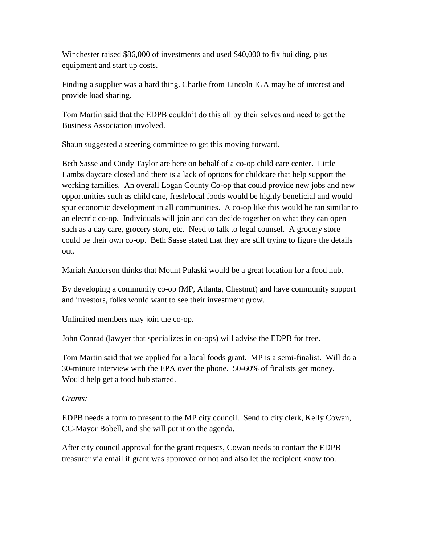Winchester raised \$86,000 of investments and used \$40,000 to fix building, plus equipment and start up costs.

Finding a supplier was a hard thing. Charlie from Lincoln IGA may be of interest and provide load sharing.

Tom Martin said that the EDPB couldn't do this all by their selves and need to get the Business Association involved.

Shaun suggested a steering committee to get this moving forward.

Beth Sasse and Cindy Taylor are here on behalf of a co-op child care center. Little Lambs daycare closed and there is a lack of options for childcare that help support the working families. An overall Logan County Co-op that could provide new jobs and new opportunities such as child care, fresh/local foods would be highly beneficial and would spur economic development in all communities. A co-op like this would be ran similar to an electric co-op. Individuals will join and can decide together on what they can open such as a day care, grocery store, etc. Need to talk to legal counsel. A grocery store could be their own co-op. Beth Sasse stated that they are still trying to figure the details out.

Mariah Anderson thinks that Mount Pulaski would be a great location for a food hub.

By developing a community co-op (MP, Atlanta, Chestnut) and have community support and investors, folks would want to see their investment grow.

Unlimited members may join the co-op.

John Conrad (lawyer that specializes in co-ops) will advise the EDPB for free.

Tom Martin said that we applied for a local foods grant. MP is a semi-finalist. Will do a 30-minute interview with the EPA over the phone. 50-60% of finalists get money. Would help get a food hub started.

# *Grants:*

EDPB needs a form to present to the MP city council. Send to city clerk, Kelly Cowan, CC-Mayor Bobell, and she will put it on the agenda.

After city council approval for the grant requests, Cowan needs to contact the EDPB treasurer via email if grant was approved or not and also let the recipient know too.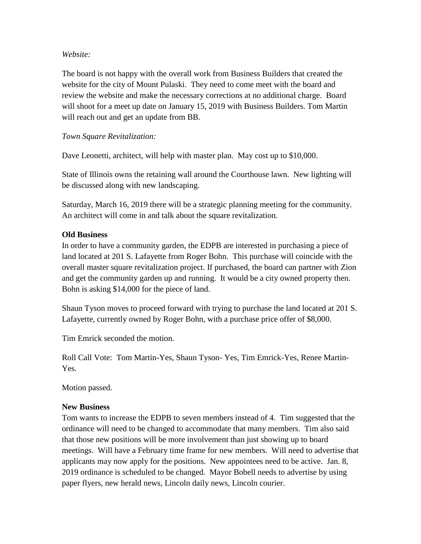#### *Website:*

The board is not happy with the overall work from Business Builders that created the website for the city of Mount Pulaski. They need to come meet with the board and review the website and make the necessary corrections at no additional charge. Board will shoot for a meet up date on January 15, 2019 with Business Builders. Tom Martin will reach out and get an update from BB.

# *Town Square Revitalization:*

Dave Leonetti, architect, will help with master plan. May cost up to \$10,000.

State of Illinois owns the retaining wall around the Courthouse lawn. New lighting will be discussed along with new landscaping.

Saturday, March 16, 2019 there will be a strategic planning meeting for the community. An architect will come in and talk about the square revitalization.

#### **Old Business**

In order to have a community garden, the EDPB are interested in purchasing a piece of land located at 201 S. Lafayette from Roger Bohn. This purchase will coincide with the overall master square revitalization project. If purchased, the board can partner with Zion and get the community garden up and running. It would be a city owned property then. Bohn is asking \$14,000 for the piece of land.

Shaun Tyson moves to proceed forward with trying to purchase the land located at 201 S. Lafayette, currently owned by Roger Bohn, with a purchase price offer of \$8,000.

Tim Emrick seconded the motion.

Roll Call Vote: Tom Martin-Yes, Shaun Tyson- Yes, Tim Emrick-Yes, Renee Martin-Yes.

Motion passed.

# **New Business**

Tom wants to increase the EDPB to seven members instead of 4. Tim suggested that the ordinance will need to be changed to accommodate that many members. Tim also said that those new positions will be more involvement than just showing up to board meetings. Will have a February time frame for new members. Will need to advertise that applicants may now apply for the positions. New appointees need to be active. Jan. 8, 2019 ordinance is scheduled to be changed. Mayor Bobell needs to advertise by using paper flyers, new herald news, Lincoln daily news, Lincoln courier.